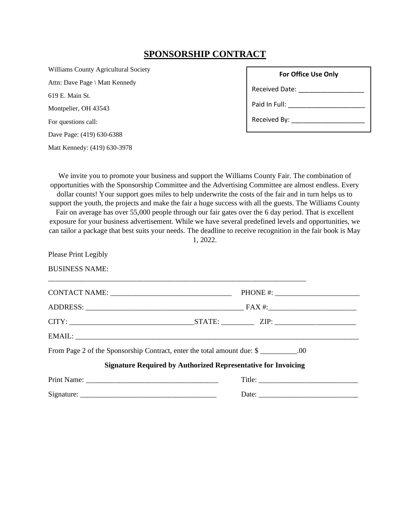# **SPONSORSHIP CONTRACT**

Williams County Agricultural Society Attn: Dave Page \ Matt Kennedy 619 E. Main St. Montpelier, OH 43543 For questions call: Dave Page: (419) 630-6388 Matt Kennedy: (419) 630-3978

| <b>For Office Use Only</b>                |
|-------------------------------------------|
| Received Date: Necessary Property Control |
| Paid In Full:                             |
| Received By:                              |

We invite you to promote your business and support the Williams County Fair. The combination of opportunities with the Sponsorship Committee and the Advertising Committee are almost endless. Every dollar counts! Your support goes miles to help underwrite the costs of the fair and in turn helps us to support the youth, the projects and make the fair a huge success with all the guests. The Williams County Fair on average has over 55,000 people through our fair gates over the 6 day period. That is excellent exposure for your business advertisement. While we have several predefined levels and opportunities, we can tailor a package that best suits your needs. The deadline to receive recognition in the fair book is May 1, 2022.

Please Print Legibly BUSINESS NAME:

| From Page 2 of the Sponsorship Contract, enter the total amount due: \$                                                                                                                                                                                                                                                                                                                                       |  |  |  |  |
|---------------------------------------------------------------------------------------------------------------------------------------------------------------------------------------------------------------------------------------------------------------------------------------------------------------------------------------------------------------------------------------------------------------|--|--|--|--|
| <b>Signature Required by Authorized Representative for Invoicing</b>                                                                                                                                                                                                                                                                                                                                          |  |  |  |  |
|                                                                                                                                                                                                                                                                                                                                                                                                               |  |  |  |  |
| Date: $\frac{1}{\sqrt{1-\frac{1}{2}}\sqrt{1-\frac{1}{2}}\sqrt{1-\frac{1}{2}}\sqrt{1-\frac{1}{2}}\sqrt{1-\frac{1}{2}}\sqrt{1-\frac{1}{2}}\sqrt{1-\frac{1}{2}}\sqrt{1-\frac{1}{2}}\sqrt{1-\frac{1}{2}}\sqrt{1-\frac{1}{2}}\sqrt{1-\frac{1}{2}}\sqrt{1-\frac{1}{2}}\sqrt{1-\frac{1}{2}}\sqrt{1-\frac{1}{2}}\sqrt{1-\frac{1}{2}}\sqrt{1-\frac{1}{2}}\sqrt{1-\frac{1}{2}}\sqrt{1-\frac{1}{2}}\sqrt{1-\frac{1}{2}}$ |  |  |  |  |